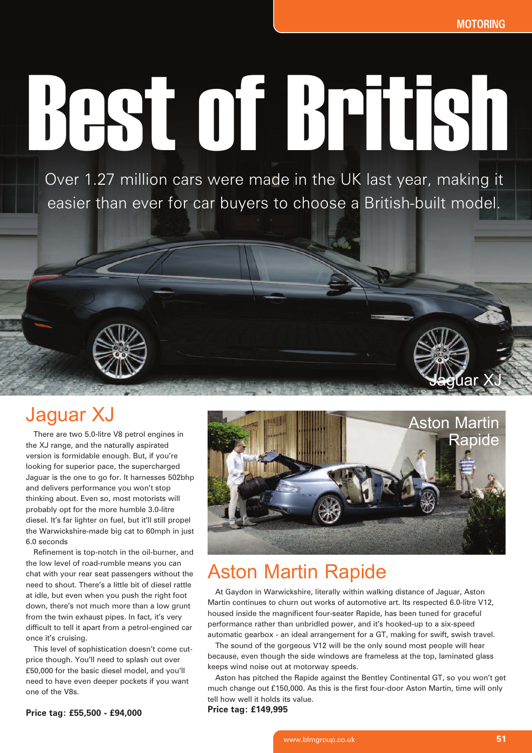**Jag**uar XJ

# Best of British

Over 1.27 million cars were made in the UK last year, making it easier than ever for car buyers to choose a British-built model.

# Jaguar XJ

There are two 5.0-litre V8 petrol engines in the XJ range, and the naturally aspirated version is formidable enough. But, if you're looking for superior pace, the supercharged Jaguar is the one to go for. It harnesses 502bhp and delivers performance you won't stop thinking about. Even so, most motorists will probably opt for the more humble 3.0-litre diesel. It's far lighter on fuel, but it'll still propel the Warwickshire-made big cat to 60mph in just 6.0 seconds

Refinement is top-notch in the oil-burner, and the low level of road-rumble means you can chat with your rear seat passengers without the need to shout. There's a little bit of diesel rattle at idle, but even when you push the right foot down, there's not much more than a low grunt from the twin exhaust pipes. In fact, it's very difficult to tell it apart from a petrol-engined car once it's cruising.

This level of sophistication doesn't come cutprice though. You'll need to splash out over £50,000 for the basic diesel model, and you'll need to have even deeper pockets if you want one of the V8s.



## Aston Martin Rapide

At Gaydon in Warwickshire, literally within walking distance of Jaguar, Aston Martin continues to churn out works of automotive art. Its respected 6.0-litre V12, housed inside the magnificent four-seater Rapide, has been tuned for graceful performance rather than unbridled power, and it's hooked-up to a six-speed automatic gearbox - an ideal arrangement for a GT, making for swift, swish travel.

The sound of the gorgeous V12 will be the only sound most people will hear because, even though the side windows are frameless at the top, laminated glass keeps wind noise out at motorway speeds.

Aston has pitched the Rapide against the Bentley Continental GT, so you won't get much change out £150,000. As this is the first four-door Aston Martin, time will only tell how well it holds its value.

**Price tag: £149,995**